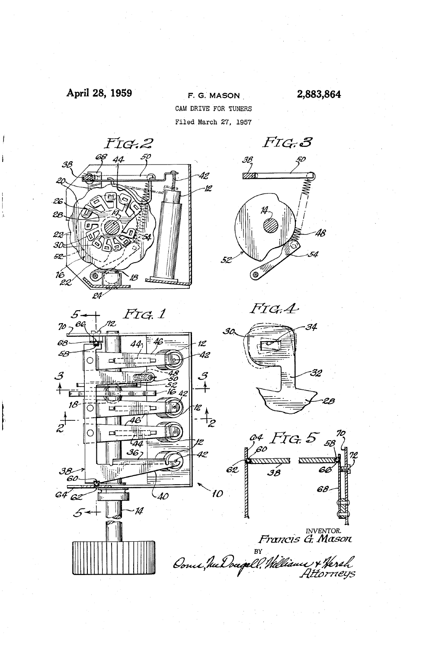# April 28, 1959'

F. G. MASON 2,883,864 CAM DRIVE FOR TUNERS Filed March 27, 1957





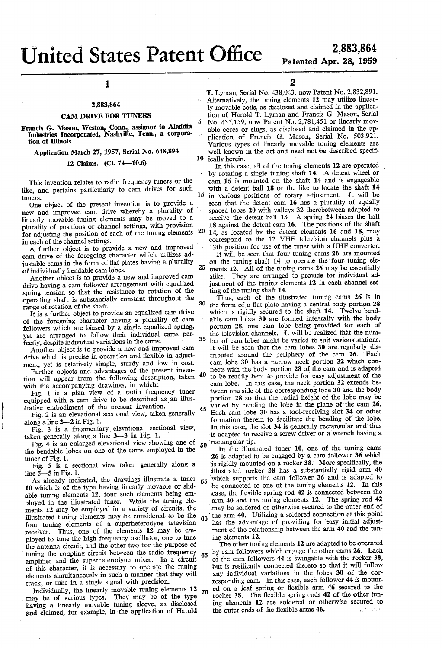# **United States Patent Office**

1

### 2,883,864

#### CAM DRIVE FOR TUNERS

Francis G. Mason, Weston, Conn., assignor to Aladdin Industries Incorporated, Nashville, Tenn., a corpora tion of Illinois

Application March 27, 1957, Serial No. 648,894

12 Claims. (Cl. 74—10.6)

This invention relates to radio frequency tuners or the like, and pertains particularly to cam drives for such

tuners.<br>One object of the present invention is to provide a new and improved cam drive whereby a plurality of linearly movable tuning elements may be moved to a plurality of positions or channel settings, with provision for adjusting the position of each of the tuning elements 20 in each of the channel settings.

A further object is to provide a new and improved ' cam drive of the foregoing character which utilizes ad justable cams in the form of flat plates having a plurality of individually bendable cam lobes.

Another object is to provide a new and improved cam drive having a cam follower arrangement with equalized spring tension so that the resistance to rotation of the operating shaft is substantially constant throughout the range of rotation of the shaft.

It is a further object to provide an equalized cam drive of the foregoing character having a plurality of cam followers which are biased by a single equalized spring, yet are arranged to follow their individual cams per

Another object is to provide a new and improved cam drive which is precise in operation and flexible in adjustment, yet is relatively simple, sturdy and low in cost.

Further objects and advantages of the present inven tion will appear from the following description, taken with the accompanying drawings, in which:

Fig. l is a plan view of a radio frequency tuner equipped with a cam drive to be described as an illustrative embodiment of the present invention.'

Fig. 2 is an elevational sectional view, taken generally along a line  $2-2$  in Fig. 1.

Fig. 3 is a fragmentary elevational sectional view, taken generally along a line 3-3 in Fig. 1.

Fig. 4 is an enlarged elevational view showing one of the bendable lobes on one of the cams employed in the tuner of Fig. 1.

Fig. 5 is a sectional view taken generally along a line  $\bar{5}$ —5 in Fig. 1.

As already indicated, the drawings illustrate a tuner 10 which is of the type having linearly movable or slidable tuning elements 12, four such elements being employed in the illustrated tuner. While the tuning elements 12 may be employed in a variety of circuits, the illustrated tuning elements may be considered to be the four tuning elements of a superheterodyne television receiver. Thus, one of the elements 12 may be em ployed to tune the high frequency oscillator, one to tune the antenna circuit, and the other two for the purpose of tuning the coupling circuit between the radio frequency amplifier and the superheterodyne mixer. In a circuit of this character, it is necessary to operate the tuning elements simultaneously in such a manner that they will track, or tune in a single signal with precision. 55 60

Individually, the linearly movable tuning elements 12 70 may be of various types. They may be of the type having a linearly movable tuning sleeve, as disclosed and claimed, for example, in the application of Harold

2

T. Lyman, Serial No. 438,043, now Patent No. 2,832,891. Alternatively, the tuning elements 12 may utilize linear-5 10 ically herein. 1y movable coils, as disclosed and claimed in the applica tion of Harold T. Lyman and Francis G. Mason, Serial No. 435,159, now Patent No. 2,781,451 or linearly mov able cores or slugs, as disclosed and claimed in the ap plication of Francis G. Mason, Serial No. 503,921. well known in the art and need not be described specif-

15 in various positions of rotary adjustment. It will be In this case, all of the tuning elements 12 are operated by rotating a single tuning shaft 14. A detent wheel or cam 16 is mounted on the shaft 14 and is engageable with a detent ball 18 or the like to locate the shaft 14 seen that the detent cam 16 has a plurality of equally spaced lobes 20 with valleys 22 therebetween adapted to receive the detent ball 18. A spring 24 biases the ball 18 against the detent cam 16. The positions of the shaft 14, as located by the detent elements 16 and 18, may correspond to the 12 VHF television channels plus a 13th position for use of the tuner with a UHF converter.

25 It will be seen that four tuning cams 26 are mounted on the tuning shaft 14 to operate the four tuning ele ments 12. All of the tuning cams 26 may be essentially alike. They are arranged to provide for individual ad justment of the tuning elements 12 in each channel setting of the tuning shaft 14.

Thus, each of the illustrated tuning cams 26 is in 30 the form of a flat plate having a central body portion 28 which is rigidly secured to the shaft 14. Twelve bendable cam lobes 30 are formed integrally with the body portion 28, one cam lobe being provided for each of the television channels. It will be realized that the num-35 ber of cam lobes might be varied to suit various stations. It will be seen that the cam lobes  $30$  are regularly distributed around the periphery of the cam  $26$ . Each tributed around the periphery of the cam  $26$ . cam lobe 30 has a narrow neck portion 32 which con nects with the body portion 28 of the cam and is adapted 40 to be readily bent to provide for easy adjustment of the cam lobe. In this case, the neck portion 32 extends be tween one side of the corresponding lobe 30 and the body portion 28 so that the radial height of the lobe may be varied by bending the lobe in the plane of the cam 26. 45 Each cam lobe 30 has a tool-receiving slot 34 or other formation therein to facilitate the bending of the lobe. In this case, the slot 34 is generally rectangular and thus is adapted to receive a screw driver or a wrench having a

50 'rectangular tip. In the illustrated tuner 10, one of the tuning cams 26 is adapted to be engaged by a cam follower 36 which is rigidly mounted on a rocker 38. More specifically, the illustrated rocker 38 has a substantially rigid  $arm$  40 which supports the cam follower 36 and is adapted to be connected to one of the tuning elements 12. In this case, the flexible spring rod 42 is connected between the arm 40 and the tuning elements 12. The spring rod 42 may be soldered or otherwise secured to the outer end of the arm 40. Utilizing a soldered connection at this point has the advantage of providing for easy initial adjust ment of the relationship between the arm 40 and the tuning elements 12.

65 The other tuning elements 12 are adapted to be operated by cam followers which engage the other cams 26. Each of the cam followers 44 is swingable with the rocker 38, but is resiliently connected thereto so that it will follow any individual variations in the lobes 30 of the cor responding cam. In this case, each follower 44 is mounted on a leaf spring or flexible arm 46 secured to the rocker 38. The flexible spring rods 42 of the other tuning elements 12 are soldered or otherwise secured to the outer ends of the flexible arms 46. the outer ends of the flexible arms 46.

 $\label{eq:2.1} \frac{1}{\sqrt{2\pi}\left(\sqrt{2\pi}\right)^{2}}\left(1-\frac{1}{2}\right)^{2}\left(\sqrt{2\pi}\right)^{2}\frac{1}{2}\left(\sqrt{2\pi}\right)^{2}$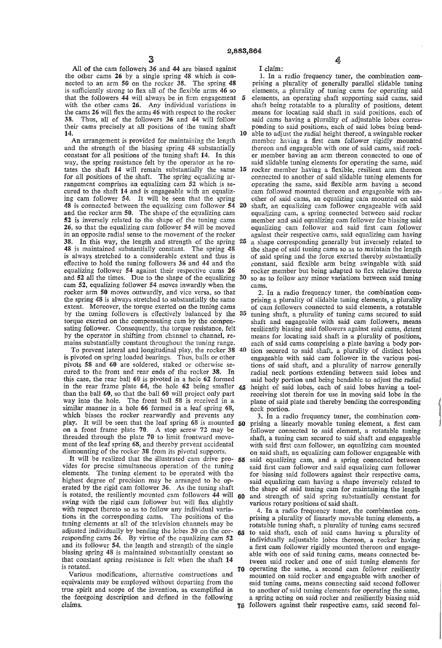All of the cam followers 36 and 44 are biased against the other cams 26 by a single spring 48 which is connected to an arm 50 on the rocker 38. The spring 48 is sufficiently strong to flex all of the flexible arms 46 so that the followers  $44$  will always be in firm engagement  $5$ with the other cams 26. Any individual variations in the cams  $26$  will flex the arms  $46$  with respect to the rocker 38. Thus, all of the followers 36 and 44 will follow their cams precisely at all positions of the tuning shaft 14.

An arrangement is provided for maintaining the length and the strength of the biasing spring 48 substantially constant for all positions of the tuning shaft 14. In this way, the spring resistance felt by the operator as he ro tates the shaft 14 will remain substantially the same 15 for all positions of the shaft. The spring equalizing arrangement comprises an equalizing cam 52 which is secured to the shaft 14 and is engageable with an equaliz ing cam follower 54. It will be seen that the spring 48 is connected between the equalizing cam follower 54 and the rocker arm 50. The shape of the equalizing cam 52 is inversely related to the shape of the tuning cams 26, so that the equalizing cam follower 54 will be moved in an opposite radial sense to the movement of the rocker 38. In this way, the length and strength of the spring 48 is maintained substantially constant. The spring 48 is always stretched to a considerable extent and thus is effective to hold the tuning followers 36 and 44 and the equalizing follower 54 against their respective cams 26 cam 52, equalizing follower 54 moves inwardly when the rocker arm 50 moves outwardly, and vice versa, so that the spring 48 is always stretched to substantially the same extent. Moreover, the torque exerted on the tuning cams by the tuning followers is effectively balanced by the 35 torque exerted on the compensating cam by the compen sating follower. Consequently, the torque resistance, felt by the operator in shifting from channel to channel, remains substantially constant throughout the tuning range. 20 25 and 52 all the times. Due to the shape of the equalizing 30

To prevent lateral and longitudinal play, the rocker 38 is pivoted on spring loaded bearings. Thus, balls or other pivots 58 and 60 are soldered, staked or otherwise se cured to the front and rear ends of the rocker 38. In this case, the rear ball 66 is pivoted in a hole 62 formed in the rear frame plate 64, the hole 62 being smaller  $\frac{1}{45}$ than the ball 60, so that the ball 60 will project only part way into the hole. The front ball 58 is received in a similar manner in a hole 66 formed in a leaf spring 63, which biases the rocker rearwardly and prevents any play. It will be seen that the leaf spring 68 is mounted 60 on a front frame plate 70. A stop screw 72 may be threaded through the plate 70 to limit frontward move ment of the leaf spring 68, and thereby prevent accidental dismounting of the rocker 38 from its pivotal supports. 40

It will be realized that the illustrated cam drive pro- 55 vides for precise simultaneous operation of the tuning elements. The tuning element to be operated with the highest degree of precision may be arranged to be op erated by the rigid cam follower 36. As the tuning shaft is rotated, the resiliently mounted cam followers  $44$  will  $60$ swing with the rigid cam follower but will flex slightly with respect thereto so as to follow any individual varia tions in the corresponding cams. The positions of the tuning elements at all of the television channels may be adjusted individually by bending the lobes 30 on the cor responding cams 26. By virtue of the equalizing cam 52 and its follower 54, the length and strength of the single biasing spring 48 is maintained substantially constant so that constant spring resistance is felt when the shaft 14 is rotated. 65 70

Various modifications, alternative constructions and equivalents may be employed without departing from the true spirit and scope of the invention, as exemplified in the foregoing description and defined in the following claims.

I claim:

10 1. In a radio frequency tuner, the combination com prising a plurality of generally parallel slidable tuning elements, a plurality of tuning cams for operating said elements, an operating shaft supporting said cams, said means for locating said shaft in said positions, each of said cams having a plurality of adjustable lobes corres ponding to said positions, each of said lobes being bend able to adjust the radial height thereof, a swingable rocker member having a first cam follower rigidly mounted thereon and engageable with one of said cams, said rock er member having an arm thereon connected to one of said slidable tuning elements for operating the same, said rocker member having a flexible, resilient arm thereon connected to another of said slidable tuning elements for operating the same, said flexible arm having a second cam followed mounted thereon and engageable with an other of said cams, an equalizing cam mounted on said shaft, an equalizing cam follower engageable with said equalizing cam, a spring connected between said rocker member and said equalizing cam follower for biasing said equalizing cam follower and said first cam follower against their respective cams, said equalizing cam having a shape corresponding generally but inversely related to the shape of said tuning cams so as to maintain the length of said spring and the force exerted thereby substantially constant, said flexible arm being swingable with said rocker member but being adapted to flex relative thereto so as to follow any minor variations between said tuning cams.

2. In a radio frequency tuner, the combination com prising a plurality of slidable tuning elements, a plurality of cam followers connected to said elements, a rotatable tuning shaft, a plurality of tuning cams secured to said shaft and engageable with said cam followers, means resiliently biasing said followers against said cams, detent means for locating said shaft in a plurality of positions, each of said cams comprising a plate having a body portion secured to said shaft, a plurality of distinct lobes engageable with said cam follower in the various positions of said shaft, and a plurality of narrow generally radial neck portions extending between said lobes and said body portion and being bendable to adjust the radial height of said lobes, each of said lobes having a tool receiving slot therein for use in moving said lobe in the plane of said plate and thereby bending the corresponding neck portion.

3. In a radio frequency tuner, the combination com prising a linearly movable tuning element, a first cam follower connected to said element, a rotatable tuning shaft, a tuning cam secured to said shaft and engageable with said first cam follower, an equalizing cam mounted on said shaft, an equalizing cam follower engageable with said equalizing cam, and a spring connected between said first cam follower and said equalizing cam follower for biasing said followers against their respective cams, said equalizing cam having a shape inversely related to the shape of said tuning cam for maintaining the length and strength of said spring substantially constant for various rotary positions of said shaft.

75 followers against their respective cams, said second fol 4. In a radio frequency tuner, the combination com prising a plurality of linearly movable tuning elements, a rotatable tuning shaft, a plurality of tuning cams secured to said shaft, each of said cams having a plurality of a first cam follower rigidly mounted thereon and engageable with one of said tuning cams, means connected be tween said rocker and one of said tuning elements for operating the same, a second cam follower resiliently mounted on said rocker and engageable with another of said tuning cams, means connecting said second follower to another of said tuning elements for operating the same, a spring acting on said rocker and resiliently biasing said